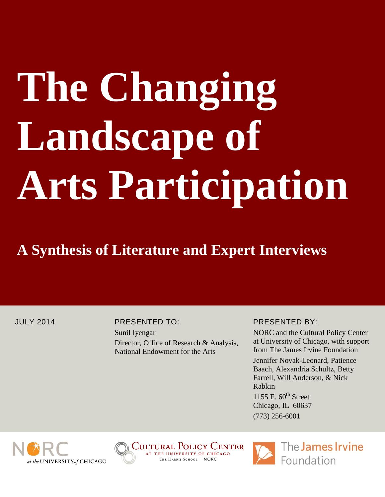# **The Changing**  Landscape of **Arts Participation**

# **A Synthesis of Literature and Expert Interviews**

### JULY 2014 PRESENTED TO:

Sunil Iyengar Director, Office of Research & Analysis, National Endowment for the Arts

# PRESENTED BY:

NORC and the Cultural Policy Center at University of Chicago, with support from The James Irvine Foundation

Jennifer Novak-Leonard, Patience Baach, Alexandria Schultz, Betty Farrell, Will Anderson, & Nick Rabkin

1155 E.  $60<sup>th</sup>$  Street Chicago, IL 60637 (773) 256-6001



Cultural Policy Center AT THE UNIVERSITY OF CHICAGO THE HARRIS SCHOOL | NORC

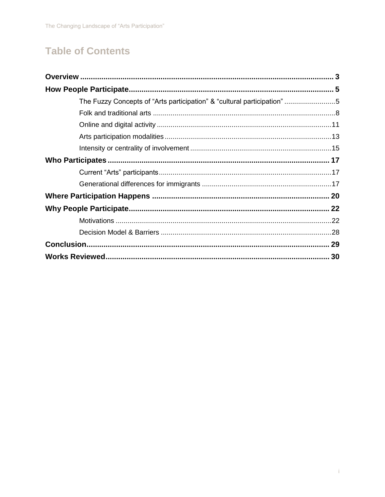# **Table of Contents**

| The Fuzzy Concepts of "Arts participation" & "cultural participation"5 |  |
|------------------------------------------------------------------------|--|
|                                                                        |  |
|                                                                        |  |
|                                                                        |  |
|                                                                        |  |
|                                                                        |  |
|                                                                        |  |
|                                                                        |  |
|                                                                        |  |
|                                                                        |  |
|                                                                        |  |
|                                                                        |  |
|                                                                        |  |
|                                                                        |  |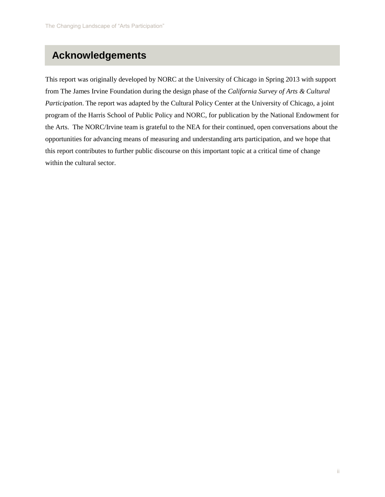# **Acknowledgements**

This report was originally developed by NORC at the University of Chicago in Spring 2013 with support from The James Irvine Foundation during the design phase of the *California Survey of Arts & Cultural Participation*. The report was adapted by the Cultural Policy Center at the University of Chicago, a joint program of the Harris School of Public Policy and NORC, for publication by the National Endowment for the Arts. The NORC/Irvine team is grateful to the NEA for their continued, open conversations about the opportunities for advancing means of measuring and understanding arts participation, and we hope that this report contributes to further public discourse on this important topic at a critical time of change within the cultural sector.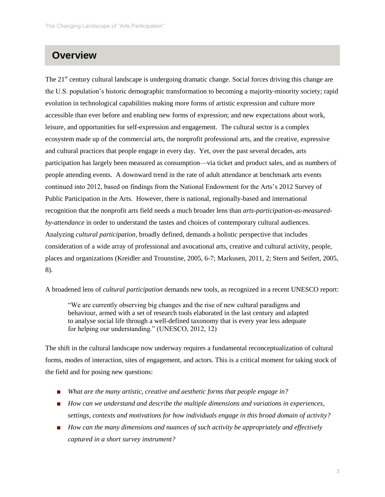# **Overview**

The 21<sup>st</sup> century cultural landscape is undergoing dramatic change. Social forces driving this change are the U.S. population's historic demographic transformation to becoming a majority-minority society; rapid evolution in technological capabilities making more forms of artistic expression and culture more accessible than ever before and enabling new forms of expression; and new expectations about work, leisure, and opportunities for self-expression and engagement. The cultural sector is a complex ecosystem made up of the commercial arts, the nonprofit professional arts, and the creative, expressive and cultural practices that people engage in every day. Yet, over the past several decades, arts participation has largely been measured as consumption—via ticket and product sales, and as numbers of people attending events. A downward trend in the rate of adult attendance at benchmark arts events continued into 2012, based on findings from the National Endowment for the Arts's 2012 Survey of Public Participation in the Arts. However, there is national, regionally-based and international recognition that the nonprofit arts field needs a much broader lens than *arts-participation-as-measuredby-attendance* in order to understand the tastes and choices of contemporary cultural audiences. Analyzing *cultural participation*, broadly defined, demands a holistic perspective that includes consideration of a wide array of professional and avocational arts, creative and cultural activity, people, places and organizations (Kreidler and Trounstine, 2005, 6-7; Markusen, 2011, 2; Stern and Seifert, 2005, 8).

A broadened lens of *cultural participation* demands new tools, as recognized in a recent UNESCO report:

"We are currently observing big changes and the rise of new cultural paradigms and behaviour, armed with a set of research tools elaborated in the last century and adapted to analyse social life through a well-defined taxonomy that is every year less adequate for helping our understanding." (UNESCO, 2012, 12)

The shift in the cultural landscape now underway requires a fundamental reconceptualization of cultural forms, modes of interaction, sites of engagement, and actors. This is a critical moment for taking stock of the field and for posing new questions:

- *What are the many artistic, creative and aesthetic forms that people engage in?*
- *How can we understand and describe the multiple dimensions and variations in experiences, settings, contexts and motivations for how individuals engage in this broad domain of activity?*
- *How can the many dimensions and nuances of such activity be appropriately and effectively captured in a short survey instrument?*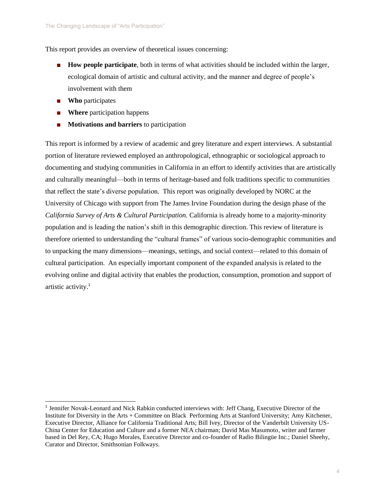This report provides an overview of theoretical issues concerning:

- **How people participate**, both in terms of what activities should be included within the larger, ecological domain of artistic and cultural activity, and the manner and degree of people's involvement with them
- **Who** participates

l

- **Where** participation happens
- **Motivations and barriers** to participation

This report is informed by a review of academic and grey literature and expert interviews. A substantial portion of literature reviewed employed an anthropological, ethnographic or sociological approach to documenting and studying communities in California in an effort to identify activities that are artistically and culturally meaningful—both in terms of heritage-based and folk traditions specific to communities that reflect the state's diverse population. This report was originally developed by NORC at the University of Chicago with support from The James Irvine Foundation during the design phase of the *California Survey of Arts & Cultural Participation.* California is already home to a majority-minority population and is leading the nation's shift in this demographic direction. This review of literature is therefore oriented to understanding the "cultural frames" of various socio-demographic communities and to unpacking the many dimensions—meanings, settings, and social context—related to this domain of cultural participation. An especially important component of the expanded analysis is related to the evolving online and digital activity that enables the production, consumption, promotion and support of artistic activity.<sup>1</sup>

<sup>&</sup>lt;sup>1</sup> Jennifer Novak-Leonard and Nick Rabkin conducted interviews with: Jeff Chang, Executive Director of the Institute for Diversity in the Arts + Committee on Black Performing Arts at Stanford University; Amy Kitchener, Executive Director, Alliance for California Traditional Arts; Bill Ivey, Director of the Vanderbilt University US-China Center for Education and Culture and a former NEA chairman; David Mas Masumoto, writer and farmer based in Del Rey, CA; Hugo Morales, Executive Director and co-founder of Radio Bilingüe Inc.; Daniel Sheehy, Curator and Director, Smithsonian Folkways.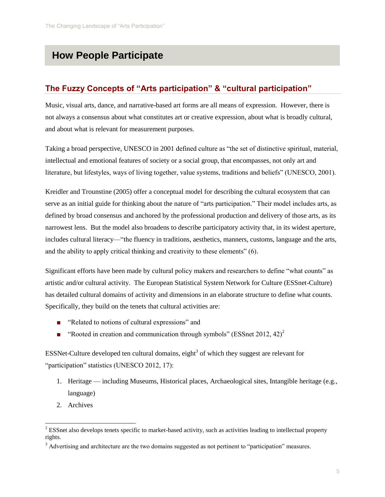# **How People Participate**

# **The Fuzzy Concepts of "Arts participation" & "cultural participation"**

Music, visual arts, dance, and narrative-based art forms are all means of expression. However, there is not always a consensus about what constitutes art or creative expression, about what is broadly cultural, and about what is relevant for measurement purposes.

Taking a broad perspective, UNESCO in 2001 defined culture as "the set of distinctive spiritual, material, intellectual and emotional features of society or a social group, that encompasses, not only art and literature, but lifestyles, ways of living together, value systems, traditions and beliefs" (UNESCO, 2001).

Kreidler and Trounstine (2005) offer a conceptual model for describing the cultural ecosystem that can serve as an initial guide for thinking about the nature of "arts participation." Their model includes arts, as defined by broad consensus and anchored by the professional production and delivery of those arts, as its narrowest lens. But the model also broadens to describe participatory activity that, in its widest aperture, includes cultural literacy—"the fluency in traditions, aesthetics, manners, customs, language and the arts, and the ability to apply critical thinking and creativity to these elements" (6).

Significant efforts have been made by cultural policy makers and researchers to define "what counts" as artistic and/or cultural activity. The European Statistical System Network for Culture (ESSnet-Culture) has detailed cultural domains of activity and dimensions in an elaborate structure to define what counts. Specifically, they build on the tenets that cultural activities are:

- "Related to notions of cultural expressions" and
- **•** "Rooted in creation and communication through symbols" (ESSnet 2012, 42)<sup>2</sup>

ESSNet-Culture developed ten cultural domains, eight<sup>3</sup> of which they suggest are relevant for "participation" statistics (UNESCO 2012, 17):

- 1. Heritage including Museums, Historical places, Archaeological sites, Intangible heritage (e.g., language)
- 2. Archives

l

<sup>&</sup>lt;sup>2</sup> ESSnet also develops tenets specific to market-based activity, such as activities leading to intellectual property rights.

<sup>&</sup>lt;sup>3</sup> Advertising and architecture are the two domains suggested as not pertinent to "participation" measures.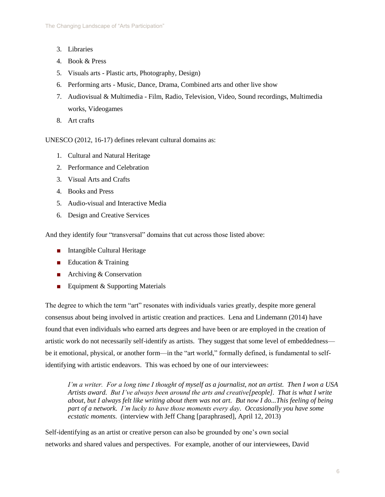- 3. Libraries
- 4. Book & Press
- 5. Visuals arts Plastic arts, Photography, Design)
- 6. Performing arts Music, Dance, Drama, Combined arts and other live show
- 7. Audiovisual & Multimedia Film, Radio, Television, Video, Sound recordings, Multimedia works, Videogames
- 8. Art crafts

UNESCO (2012, 16-17) defines relevant cultural domains as:

- 1. Cultural and Natural Heritage
- 2. Performance and Celebration
- 3. Visual Arts and Crafts
- 4. Books and Press
- 5. Audio-visual and Interactive Media
- 6. Design and Creative Services

And they identify four "transversal" domains that cut across those listed above:

- Intangible Cultural Heritage
- Education & Training
- Archiving & Conservation
- Equipment & Supporting Materials

The degree to which the term "art" resonates with individuals varies greatly, despite more general consensus about being involved in artistic creation and practices. Lena and Lindemann (2014) have found that even individuals who earned arts degrees and have been or are employed in the creation of artistic work do not necessarily self-identify as artists. They suggest that some level of embeddedness be it emotional, physical, or another form—in the "art world," formally defined, is fundamental to selfidentifying with artistic endeavors. This was echoed by one of our interviewees:

*I'm a writer. For a long time I thought of myself as a journalist, not an artist. Then I won a USA Artists award. But I've always been around the arts and creative[people]. That is what I write about, but I always felt like writing about them was not art. But now I do...This feeling of being part of a network. I'm lucky to have those moments every day. Occasionally you have some ecstatic moments.* (interview with Jeff Chang [paraphrased], April 12, 2013)

Self-identifying as an artist or creative person can also be grounded by one's own social networks and shared values and perspectives. For example, another of our interviewees, David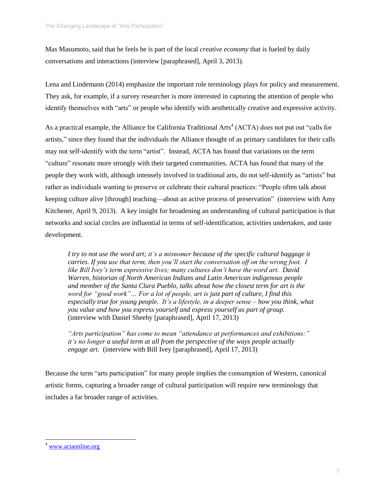Mas Masumoto, said that he feels he is part of the local *creative economy* that is fueled by daily conversations and interactions (interview [paraphrased], April 3, 2013).

Lena and Lindemann (2014) emphasize the important role terminology plays for policy and measurement. They ask, for example, if a survey researcher is more interested in capturing the attention of people who identify themselves with "arts" or people who identify with aesthetically creative and expressive activity.

As a practical example, the Alliance for California Traditional Arts<sup>4</sup> (ACTA) does not put out "calls for artists," since they found that the individuals the Alliance thought of as primary candidates for their calls may not self-identify with the term "artist". Instead, ACTA has found that variations on the term "culture" resonate more strongly with their targeted communities. ACTA has found that many of the people they work with, although intensely involved in traditional arts, do not self-identify as "artists" but rather as individuals wanting to preserve or celebrate their cultural practices: "People often talk about keeping culture alive [through] teaching—about an active process of preservation" (interview with Amy Kitchener, April 9, 2013). A key insight for broadening an understanding of cultural participation is that networks and social circles are influential in terms of self-identification, activities undertaken, and taste development.

*I try to not use the word art; it's a misnomer because of the specific cultural baggage it carries. If you use that term, then you'll start the conversation off on the wrong foot. I like Bill Ivey's term expressive lives; many cultures don't have the word art. David Warren, historian of North American Indians and Latin American indigenous people and member of the Santa Clara Pueblo, talks about how the closest term for art is the word for "good work"… For a lot of people, art is just part of culture, I find this especially true for young people. It's a lifestyle, in a deeper sense – how you think, what you value and how you express yourself and express yourself as part of group.* (interview with Daniel Sheehy [paraphrased], April 17, 2013)

*"Arts participation" has come to mean "attendance at performances and exhibitions:" it's no longer a useful term at all from the perspective of the ways people actually engage art.* (interview with Bill Ivey [paraphrased], April 17, 2013)

Because the term "arts participation" for many people implies the consumption of Western, canonical artistic forms, capturing a broader range of cultural participation will require new terminology that includes a far broader range of activities.

l

<sup>4</sup> [www.actaonline.org](http://www.actaonline.org/)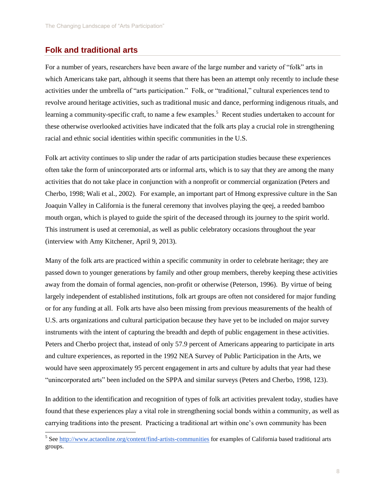### **Folk and traditional arts**

For a number of years, researchers have been aware of the large number and variety of "folk" arts in which Americans take part, although it seems that there has been an attempt only recently to include these activities under the umbrella of "arts participation." Folk, or "traditional," cultural experiences tend to revolve around heritage activities, such as traditional music and dance, performing indigenous rituals, and learning a community-specific craft, to name a few examples.<sup>5</sup> Recent studies undertaken to account for these otherwise overlooked activities have indicated that the folk arts play a crucial role in strengthening racial and ethnic social identities within specific communities in the U.S.

Folk art activity continues to slip under the radar of arts participation studies because these experiences often take the form of unincorporated arts or informal arts, which is to say that they are among the many activities that do not take place in conjunction with a nonprofit or commercial organization (Peters and Cherbo, 1998; Wali et al., 2002). For example, an important part of Hmong expressive culture in the San Joaquin Valley in California is the funeral ceremony that involves playing the qeej, a reeded bamboo mouth organ, which is played to guide the spirit of the deceased through its journey to the spirit world. This instrument is used at ceremonial, as well as public celebratory occasions throughout the year (interview with Amy Kitchener, April 9, 2013).

Many of the folk arts are practiced within a specific community in order to celebrate heritage; they are passed down to younger generations by family and other group members, thereby keeping these activities away from the domain of formal agencies, non-profit or otherwise (Peterson, 1996). By virtue of being largely independent of established institutions, folk art groups are often not considered for major funding or for any funding at all. Folk arts have also been missing from previous measurements of the health of U.S. arts organizations and cultural participation because they have yet to be included on major survey instruments with the intent of capturing the breadth and depth of public engagement in these activities. Peters and Cherbo project that, instead of only 57.9 percent of Americans appearing to participate in arts and culture experiences, as reported in the 1992 NEA Survey of Public Participation in the Arts, we would have seen approximately 95 percent engagement in arts and culture by adults that year had these "unincorporated arts" been included on the SPPA and similar surveys (Peters and Cherbo, 1998, 123).

In addition to the identification and recognition of types of folk art activities prevalent today, studies have found that these experiences play a vital role in strengthening social bonds within a community, as well as carrying traditions into the present. Practicing a traditional art within one's own community has been

<sup>&</sup>lt;sup>5</sup> Se[e http://www.actaonline.org/content/find-artists-communities](http://www.actaonline.org/content/find-artists-communities) for examples of California based traditional arts groups.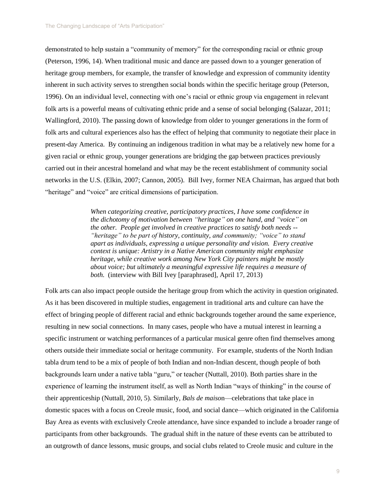demonstrated to help sustain a "community of memory" for the corresponding racial or ethnic group (Peterson, 1996, 14). When traditional music and dance are passed down to a younger generation of heritage group members, for example, the transfer of knowledge and expression of community identity inherent in such activity serves to strengthen social bonds within the specific heritage group (Peterson, 1996). On an individual level, connecting with one's racial or ethnic group via engagement in relevant folk arts is a powerful means of cultivating ethnic pride and a sense of social belonging (Salazar, 2011; Wallingford, 2010). The passing down of knowledge from older to younger generations in the form of folk arts and cultural experiences also has the effect of helping that community to negotiate their place in present-day America. By continuing an indigenous tradition in what may be a relatively new home for a given racial or ethnic group, younger generations are bridging the gap between practices previously carried out in their ancestral homeland and what may be the recent establishment of community social networks in the U.S. (Elkin, 2007; Cannon, 2005). Bill Ivey, former NEA Chairman, has argued that both "heritage" and "voice" are critical dimensions of participation.

> *When categorizing creative, participatory practices, I have some confidence in the dichotomy of motivation between "heritage" on one hand, and "voice" on the other. People get involved in creative practices to satisfy both needs -- "heritage" to be part of history, continuity, and community; "voice" to stand apart as individuals, expressing a unique personality and vision. Every creative context is unique: Artistry in a Native American community might emphasize heritage, while creative work among New York City painters might be mostly about voice; but ultimately a meaningful expressive life requires a measure of both.* (interview with Bill Ivey [paraphrased], April 17, 2013)

Folk arts can also impact people outside the heritage group from which the activity in question originated. As it has been discovered in multiple studies, engagement in traditional arts and culture can have the effect of bringing people of different racial and ethnic backgrounds together around the same experience, resulting in new social connections. In many cases, people who have a mutual interest in learning a specific instrument or watching performances of a particular musical genre often find themselves among others outside their immediate social or heritage community. For example, students of the North Indian tabla drum tend to be a mix of people of both Indian and non-Indian descent, though people of both backgrounds learn under a native tabla "guru," or teacher (Nuttall, 2010). Both parties share in the experience of learning the instrument itself, as well as North Indian "ways of thinking" in the course of their apprenticeship (Nuttall, 2010, 5). Similarly, *Bals de maiso*n—celebrations that take place in domestic spaces with a focus on Creole music, food, and social dance—which originated in the California Bay Area as events with exclusively Creole attendance, have since expanded to include a broader range of participants from other backgrounds. The gradual shift in the nature of these events can be attributed to an outgrowth of dance lessons, music groups, and social clubs related to Creole music and culture in the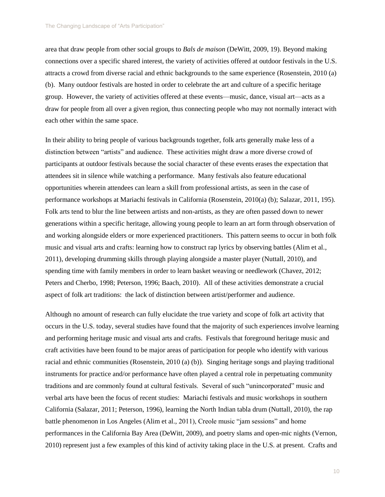area that draw people from other social groups to *Bals de maison* (DeWitt, 2009, 19). Beyond making connections over a specific shared interest, the variety of activities offered at outdoor festivals in the U.S. attracts a crowd from diverse racial and ethnic backgrounds to the same experience (Rosenstein, 2010 (a) (b). Many outdoor festivals are hosted in order to celebrate the art and culture of a specific heritage group. However, the variety of activities offered at these events—music, dance, visual art—acts as a draw for people from all over a given region, thus connecting people who may not normally interact with each other within the same space.

In their ability to bring people of various backgrounds together, folk arts generally make less of a distinction between "artists" and audience. These activities might draw a more diverse crowd of participants at outdoor festivals because the social character of these events erases the expectation that attendees sit in silence while watching a performance. Many festivals also feature educational opportunities wherein attendees can learn a skill from professional artists, as seen in the case of performance workshops at Mariachi festivals in California (Rosenstein, 2010(a) (b); Salazar, 2011, 195). Folk arts tend to blur the line between artists and non-artists, as they are often passed down to newer generations within a specific heritage, allowing young people to learn an art form through observation of and working alongside elders or more experienced practitioners. This pattern seems to occur in both folk music and visual arts and crafts: learning how to construct rap lyrics by observing battles (Alim et al., 2011), developing drumming skills through playing alongside a master player (Nuttall, 2010), and spending time with family members in order to learn basket weaving or needlework (Chavez, 2012; Peters and Cherbo, 1998; Peterson, 1996; Baach, 2010). All of these activities demonstrate a crucial aspect of folk art traditions: the lack of distinction between artist/performer and audience.

Although no amount of research can fully elucidate the true variety and scope of folk art activity that occurs in the U.S. today, several studies have found that the majority of such experiences involve learning and performing heritage music and visual arts and crafts. Festivals that foreground heritage music and craft activities have been found to be major areas of participation for people who identify with various racial and ethnic communities (Rosenstein, 2010 (a) (b)). Singing heritage songs and playing traditional instruments for practice and/or performance have often played a central role in perpetuating community traditions and are commonly found at cultural festivals. Several of such "unincorporated" music and verbal arts have been the focus of recent studies: Mariachi festivals and music workshops in southern California (Salazar, 2011; Peterson, 1996), learning the North Indian tabla drum (Nuttall, 2010), the rap battle phenomenon in Los Angeles (Alim et al., 2011), Creole music "jam sessions" and home performances in the California Bay Area (DeWitt, 2009), and poetry slams and open-mic nights (Vernon, 2010) represent just a few examples of this kind of activity taking place in the U.S. at present. Crafts and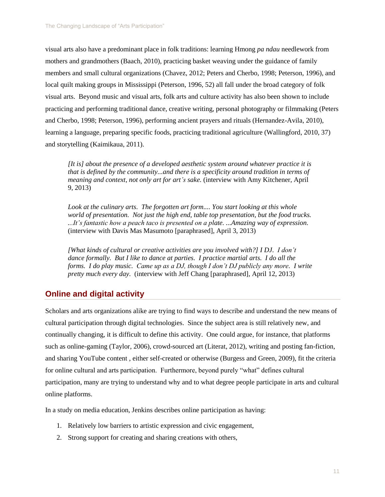visual arts also have a predominant place in folk traditions: learning Hmong *pa ndau* needlework from mothers and grandmothers (Baach, 2010), practicing basket weaving under the guidance of family members and small cultural organizations (Chavez, 2012; Peters and Cherbo, 1998; Peterson, 1996), and local quilt making groups in Mississippi (Peterson, 1996, 52) all fall under the broad category of folk visual arts. Beyond music and visual arts, folk arts and culture activity has also been shown to include practicing and performing traditional dance, creative writing, personal photography or filmmaking (Peters and Cherbo, 1998; Peterson, 1996), performing ancient prayers and rituals (Hernandez-Avila, 2010), learning a language, preparing specific foods, practicing traditional agriculture (Wallingford, 2010, 37) and storytelling (Kaimikaua, 2011).

*[It is] about the presence of a developed aesthetic system around whatever practice it is that is defined by the community...and there is a specificity around tradition in terms of meaning and context, not only art for art's sake.* (interview with Amy Kitchener, April 9, 2013)

Look at the culinary arts. The forgotten art form.... You start looking at this whole *world of presentation. Not just the high end, table top presentation, but the food trucks. ...It's fantastic how a peach taco is presented on a plate. ...Amazing way of expression.* (interview with Davis Mas Masumoto [paraphrased], April 3, 2013)

*[What kinds of cultural or creative activities are you involved with?] I DJ. I don't dance formally. But I like to dance at parties. I practice martial arts. I do all the forms. I do play music. Came up as a DJ, though I don't DJ publicly any more. I write pretty much every day.* (interview with Jeff Chang [paraphrased], April 12, 2013)

# **Online and digital activity**

Scholars and arts organizations alike are trying to find ways to describe and understand the new means of cultural participation through digital technologies. Since the subject area is still relatively new, and continually changing, it is difficult to define this activity. One could argue, for instance, that platforms such as online-gaming (Taylor, 2006), crowd-sourced art (Literat, 2012), writing and posting fan-fiction, and sharing YouTube content , either self-created or otherwise (Burgess and Green, 2009), fit the criteria for online cultural and arts participation. Furthermore, beyond purely "what" defines cultural participation, many are trying to understand why and to what degree people participate in arts and cultural online platforms.

In a study on media education, Jenkins describes online participation as having:

- 1. Relatively low barriers to artistic expression and civic engagement,
- 2. Strong support for creating and sharing creations with others,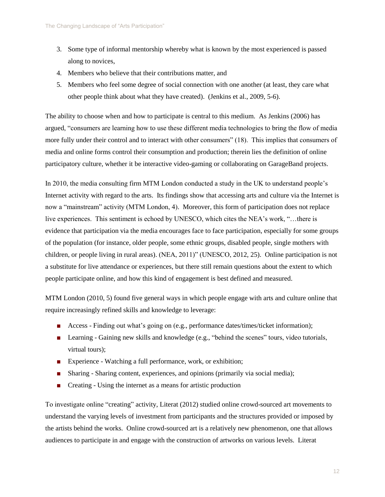- 3. Some type of informal mentorship whereby what is known by the most experienced is passed along to novices,
- 4. Members who believe that their contributions matter, and
- 5. Members who feel some degree of social connection with one another (at least, they care what other people think about what they have created). (Jenkins et al., 2009, 5-6).

The ability to choose when and how to participate is central to this medium. As Jenkins (2006) has argued, "consumers are learning how to use these different media technologies to bring the flow of media more fully under their control and to interact with other consumers" (18). This implies that consumers of media and online forms control their consumption and production; therein lies the definition of online participatory culture, whether it be interactive video-gaming or collaborating on GarageBand projects.

In 2010, the media consulting firm MTM London conducted a study in the UK to understand people's Internet activity with regard to the arts. Its findings show that accessing arts and culture via the Internet is now a "mainstream" activity (MTM London, 4). Moreover, this form of participation does not replace live experiences. This sentiment is echoed by UNESCO, which cites the NEA's work, "…there is evidence that participation via the media encourages face to face participation, especially for some groups of the population (for instance, older people, some ethnic groups, disabled people, single mothers with children, or people living in rural areas). (NEA, 2011)" (UNESCO, 2012, 25). Online participation is not a substitute for live attendance or experiences, but there still remain questions about the extent to which people participate online, and how this kind of engagement is best defined and measured.

MTM London (2010, 5) found five general ways in which people engage with arts and culture online that require increasingly refined skills and knowledge to leverage:

- Access Finding out what's going on (e.g., performance dates/times/ticket information);
- Learning Gaining new skills and knowledge (e.g., "behind the scenes" tours, video tutorials, virtual tours);
- Experience Watching a full performance, work, or exhibition;
- Sharing Sharing content, experiences, and opinions (primarily via social media);
- Creating Using the internet as a means for artistic production

To investigate online "creating" activity, Literat (2012) studied online crowd-sourced art movements to understand the varying levels of investment from participants and the structures provided or imposed by the artists behind the works. Online crowd-sourced art is a relatively new phenomenon, one that allows audiences to participate in and engage with the construction of artworks on various levels. Literat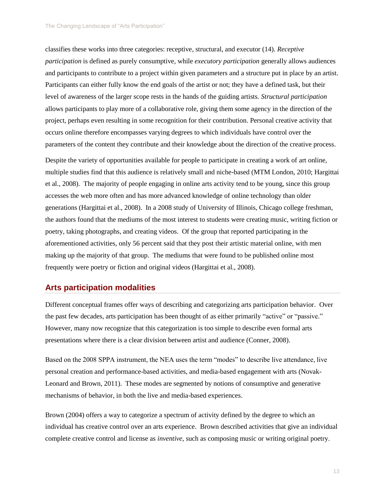classifies these works into three categories: receptive, structural, and executor (14). *Receptive participation* is defined as purely consumptive, while *executory participation* generally allows audiences and participants to contribute to a project within given parameters and a structure put in place by an artist. Participants can either fully know the end goals of the artist or not; they have a defined task, but their level of awareness of the larger scope rests in the hands of the guiding artists. *Structural participation* allows participants to play more of a collaborative role, giving them some agency in the direction of the project, perhaps even resulting in some recognition for their contribution. Personal creative activity that occurs online therefore encompasses varying degrees to which individuals have control over the parameters of the content they contribute and their knowledge about the direction of the creative process.

Despite the variety of opportunities available for people to participate in creating a work of art online, multiple studies find that this audience is relatively small and niche-based (MTM London, 2010; Hargittai et al., 2008). The majority of people engaging in online arts activity tend to be young, since this group accesses the web more often and has more advanced knowledge of online technology than older generations (Hargittai et al., 2008). In a 2008 study of University of Illinois, Chicago college freshman, the authors found that the mediums of the most interest to students were creating music, writing fiction or poetry, taking photographs, and creating videos. Of the group that reported participating in the aforementioned activities, only 56 percent said that they post their artistic material online, with men making up the majority of that group. The mediums that were found to be published online most frequently were poetry or fiction and original videos (Hargittai et al., 2008).

### **Arts participation modalities**

Different conceptual frames offer ways of describing and categorizing arts participation behavior. Over the past few decades, arts participation has been thought of as either primarily "active" or "passive." However, many now recognize that this categorization is too simple to describe even formal arts presentations where there is a clear division between artist and audience (Conner, 2008).

Based on the 2008 SPPA instrument, the NEA uses the term "modes" to describe live attendance, live personal creation and performance-based activities, and media-based engagement with arts (Novak-Leonard and Brown, 2011). These modes are segmented by notions of consumptive and generative mechanisms of behavior, in both the live and media-based experiences.

Brown (2004) offers a way to categorize a spectrum of activity defined by the degree to which an individual has creative control over an arts experience. Brown described activities that give an individual complete creative control and license as *inventive*, such as composing music or writing original poetry.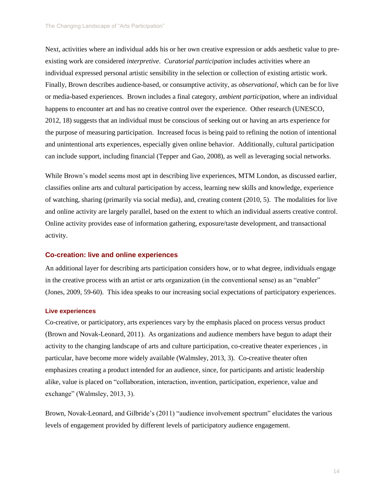Next, activities where an individual adds his or her own creative expression or adds aesthetic value to preexisting work are considered *interpretive*. *Curatorial participation* includes activities where an individual expressed personal artistic sensibility in the selection or collection of existing artistic work. Finally, Brown describes audience-based, or consumptive activity, as *observational*, which can be for live or media-based experiences. Brown includes a final category, *ambient participation*, where an individual happens to encounter art and has no creative control over the experience. Other research (UNESCO, 2012, 18) suggests that an individual must be conscious of seeking out or having an arts experience for the purpose of measuring participation. Increased focus is being paid to refining the notion of intentional and unintentional arts experiences, especially given online behavior. Additionally, cultural participation can include support, including financial (Tepper and Gao, 2008), as well as leveraging social networks.

While Brown's model seems most apt in describing live experiences, MTM London, as discussed earlier, classifies online arts and cultural participation by access, learning new skills and knowledge, experience of watching, sharing (primarily via social media), and, creating content (2010, 5). The modalities for live and online activity are largely parallel, based on the extent to which an individual asserts creative control. Online activity provides ease of information gathering, exposure/taste development, and transactional activity.

### **Co-creation: live and online experiences**

An additional layer for describing arts participation considers how, or to what degree, individuals engage in the creative process with an artist or arts organization (in the conventional sense) as an "enabler" (Jones, 2009, 59-60). This idea speaks to our increasing social expectations of participatory experiences.

### **Live experiences**

Co-creative, or participatory, arts experiences vary by the emphasis placed on process versus product (Brown and Novak-Leonard, 2011). As organizations and audience members have begun to adapt their activity to the changing landscape of arts and culture participation, co-creative theater experiences , in particular, have become more widely available (Walmsley, 2013, 3). Co-creative theater often emphasizes creating a product intended for an audience, since, for participants and artistic leadership alike, value is placed on "collaboration, interaction, invention, participation, experience, value and exchange" (Walmsley, 2013, 3).

Brown, Novak-Leonard, and Gilbride's (2011) "audience involvement spectrum" elucidates the various levels of engagement provided by different levels of participatory audience engagement.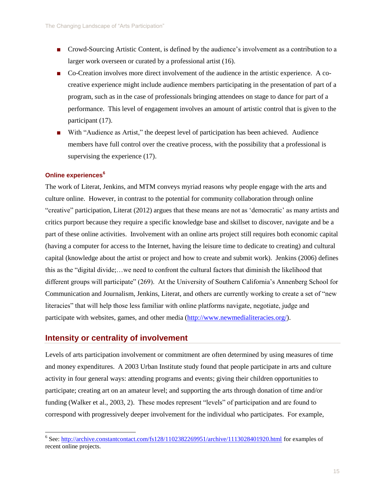- Crowd-Sourcing Artistic Content, is defined by the audience's involvement as a contribution to a larger work overseen or curated by a professional artist (16).
- Co-Creation involves more direct involvement of the audience in the artistic experience. A cocreative experience might include audience members participating in the presentation of part of a program, such as in the case of professionals bringing attendees on stage to dance for part of a performance. This level of engagement involves an amount of artistic control that is given to the participant (17).
- With "Audience as Artist," the deepest level of participation has been achieved. Audience members have full control over the creative process, with the possibility that a professional is supervising the experience  $(17)$ .

### **Online experiences<sup>6</sup>**

The work of Literat, Jenkins, and MTM conveys myriad reasons why people engage with the arts and culture online. However, in contrast to the potential for community collaboration through online "creative" participation, Literat (2012) argues that these means are not as 'democratic' as many artists and critics purport because they require a specific knowledge base and skillset to discover, navigate and be a part of these online activities. Involvement with an online arts project still requires both economic capital (having a computer for access to the Internet, having the leisure time to dedicate to creating) and cultural capital (knowledge about the artist or project and how to create and submit work). Jenkins (2006) defines this as the "digital divide;…we need to confront the cultural factors that diminish the likelihood that different groups will participate" (269). At the University of Southern California's Annenberg School for Communication and Journalism, Jenkins, Literat, and others are currently working to create a set of "new literacies" that will help those less familiar with online platforms navigate, negotiate, judge and participate with websites, games, and other media [\(http://www.newmedialiteracies.org/\)](http://www.newmedialiteracies.org/).

### **Intensity or centrality of involvement**

Levels of arts participation involvement or commitment are often determined by using measures of time and money expenditures. A 2003 Urban Institute study found that people participate in arts and culture activity in four general ways: attending programs and events; giving their children opportunities to participate; creating art on an amateur level; and supporting the arts through donation of time and/or funding (Walker et al., 2003, 2). These modes represent "levels" of participation and are found to correspond with progressively deeper involvement for the individual who participates. For example,

 6 See:<http://archive.constantcontact.com/fs128/1102382269951/archive/1113028401920.html> for examples of recent online projects.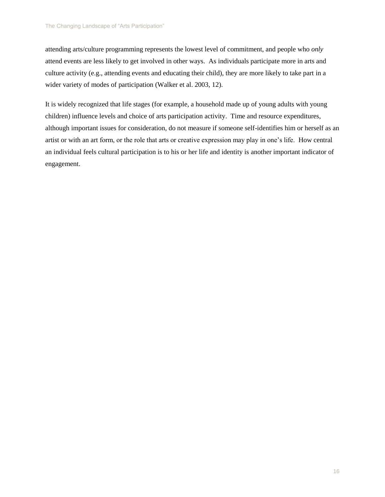attending arts/culture programming represents the lowest level of commitment, and people who *only* attend events are less likely to get involved in other ways. As individuals participate more in arts and culture activity (e.g., attending events and educating their child), they are more likely to take part in a wider variety of modes of participation (Walker et al. 2003, 12).

It is widely recognized that life stages (for example, a household made up of young adults with young children) influence levels and choice of arts participation activity. Time and resource expenditures, although important issues for consideration, do not measure if someone self-identifies him or herself as an artist or with an art form, or the role that arts or creative expression may play in one's life. How central an individual feels cultural participation is to his or her life and identity is another important indicator of engagement.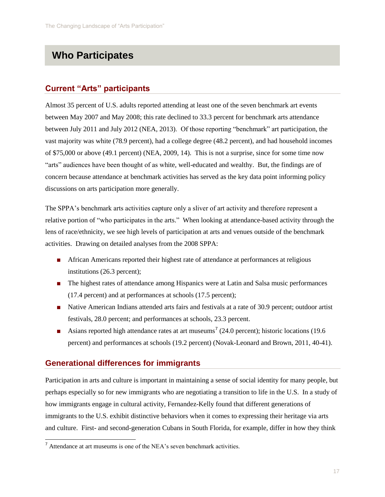# **Who Participates**

# **Current "Arts" participants**

Almost 35 percent of U.S. adults reported attending at least one of the seven benchmark art events between May 2007 and May 2008; this rate declined to 33.3 percent for benchmark arts attendance between July 2011 and July 2012 (NEA, 2013). Of those reporting "benchmark" art participation, the vast majority was white (78.9 percent), had a college degree (48.2 percent), and had household incomes of \$75,000 or above (49.1 percent) (NEA, 2009, 14). This is not a surprise, since for some time now "arts" audiences have been thought of as white, well-educated and wealthy. But, the findings are of concern because attendance at benchmark activities has served as the key data point informing policy discussions on arts participation more generally.

The SPPA's benchmark arts activities capture only a sliver of art activity and therefore represent a relative portion of "who participates in the arts." When looking at attendance-based activity through the lens of race/ethnicity, we see high levels of participation at arts and venues outside of the benchmark activities. Drawing on detailed analyses from the 2008 SPPA:

- African Americans reported their highest rate of attendance at performances at religious institutions (26.3 percent);
- The highest rates of attendance among Hispanics were at Latin and Salsa music performances (17.4 percent) and at performances at schools (17.5 percent);
- Native American Indians attended arts fairs and festivals at a rate of 30.9 percent; outdoor artist festivals, 28.0 percent; and performances at schools, 23.3 percent.
- Asians reported high attendance rates at art museums<sup>7</sup> (24.0 percent); historic locations (19.6 percent) and performances at schools (19.2 percent) (Novak-Leonard and Brown, 2011, 40-41).

# **Generational differences for immigrants**

l

Participation in arts and culture is important in maintaining a sense of social identity for many people, but perhaps especially so for new immigrants who are negotiating a transition to life in the U.S. In a study of how immigrants engage in cultural activity, Fernandez-Kelly found that different generations of immigrants to the U.S. exhibit distinctive behaviors when it comes to expressing their heritage via arts and culture. First- and second-generation Cubans in South Florida, for example, differ in how they think

 $<sup>7</sup>$  Attendance at art museums is one of the NEA's seven benchmark activities.</sup>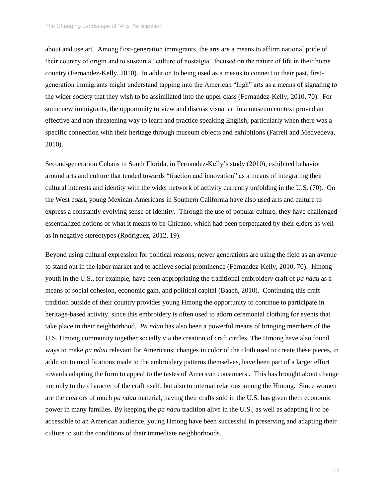about and use art. Among first-generation immigrants, the arts are a means to affirm national pride of their country of origin and to sustain a "culture of nostalgia" focused on the nature of life in their home country (Fernandez-Kelly, 2010). In addition to being used as a means to connect to their past, firstgeneration immigrants might understand tapping into the American "high" arts as a means of signaling to the wider society that they wish to be assimilated into the upper class (Fernandez-Kelly, 2010, 70). For some new immigrants, the opportunity to view and discuss visual art in a museum context proved an effective and non-threatening way to learn and practice speaking English, particularly when there was a specific connection with their heritage through museum objects and exhibitions (Farrell and Medvedeva, 2010).

Second-generation Cubans in South Florida, in Fernandez-Kelly's study (2010), exhibited behavior around arts and culture that tended towards "fraction and innovation" as a means of integrating their cultural interests and identity with the wider network of activity currently unfolding in the U.S. (70). On the West coast, young Mexican-Americans in Southern California have also used arts and culture to express a constantly evolving sense of identity. Through the use of popular culture, they have challenged essentialized notions of what it means to be Chicano, which had been perpetuated by their elders as well as in negative stereotypes (Rodriguez, 2012, 19).

Beyond using cultural expression for political reasons, newer generations are using the field as an avenue to stand out in the labor market and to achieve social prominence (Fernandez-Kelly, 2010, 70). Hmong youth in the U.S., for example, have been appropriating the traditional embroidery craft of *pa ndau* as a means of social cohesion, economic gain, and political capital (Baach, 2010). Continuing this craft tradition outside of their country provides young Hmong the opportunity to continue to participate in heritage-based activity, since this embroidery is often used to adorn ceremonial clothing for events that take place in their neighborhood. *Pa ndau* has also been a powerful means of bringing members of the U.S. Hmong community together socially via the creation of craft circles. The Hmong have also found ways to make *pa ndau* relevant for Americans: changes in color of the cloth used to create these pieces, in addition to modifications made to the embroidery patterns themselves, have been part of a larger effort towards adapting the form to appeal to the tastes of American consumers . This has brought about change not only to the character of the craft itself, but also to internal relations among the Hmong. Since women are the creators of much *pa ndau* material, having their crafts sold in the U.S. has given them economic power in many families. By keeping the *pa ndau* tradition alive in the U.S., as well as adapting it to be accessible to an American audience, young Hmong have been successful in preserving and adapting their culture to suit the conditions of their immediate neighborhoods.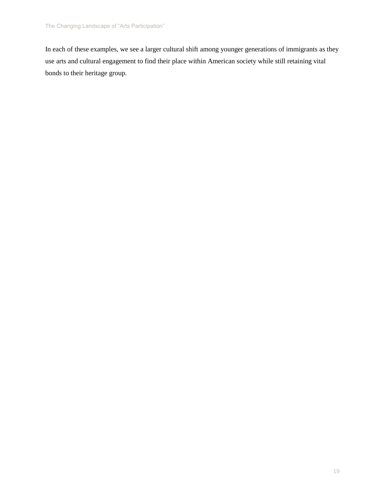In each of these examples, we see a larger cultural shift among younger generations of immigrants as they use arts and cultural engagement to find their place within American society while still retaining vital bonds to their heritage group.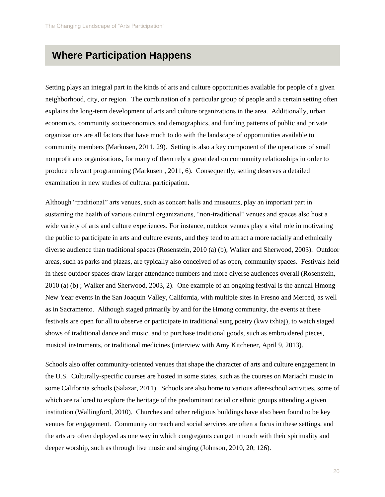# **Where Participation Happens**

Setting plays an integral part in the kinds of arts and culture opportunities available for people of a given neighborhood, city, or region. The combination of a particular group of people and a certain setting often explains the long-term development of arts and culture organizations in the area. Additionally, urban economics, community socioeconomics and demographics, and funding patterns of public and private organizations are all factors that have much to do with the landscape of opportunities available to community members (Markusen, 2011, 29). Setting is also a key component of the operations of small nonprofit arts organizations, for many of them rely a great deal on community relationships in order to produce relevant programming (Markusen , 2011, 6). Consequently, setting deserves a detailed examination in new studies of cultural participation.

Although "traditional" arts venues, such as concert halls and museums, play an important part in sustaining the health of various cultural organizations, "non-traditional" venues and spaces also host a wide variety of arts and culture experiences. For instance, outdoor venues play a vital role in motivating the public to participate in arts and culture events, and they tend to attract a more racially and ethnically diverse audience than traditional spaces (Rosenstein, 2010 (a) (b); Walker and Sherwood, 2003). Outdoor areas, such as parks and plazas, are typically also conceived of as open, community spaces. Festivals held in these outdoor spaces draw larger attendance numbers and more diverse audiences overall (Rosenstein, 2010 (a) (b) ; Walker and Sherwood, 2003, 2). One example of an ongoing festival is the annual Hmong New Year events in the San Joaquin Valley, California, with multiple sites in Fresno and Merced, as well as in Sacramento. Although staged primarily by and for the Hmong community, the events at these festivals are open for all to observe or participate in traditional sung poetry (kwv txhiaj), to watch staged shows of traditional dance and music, and to purchase traditional goods, such as embroidered pieces, musical instruments, or traditional medicines (interview with Amy Kitchener, April 9, 2013).

Schools also offer community-oriented venues that shape the character of arts and culture engagement in the U.S. Culturally-specific courses are hosted in some states, such as the courses on Mariachi music in some California schools (Salazar, 2011). Schools are also home to various after-school activities, some of which are tailored to explore the heritage of the predominant racial or ethnic groups attending a given institution (Wallingford, 2010). Churches and other religious buildings have also been found to be key venues for engagement. Community outreach and social services are often a focus in these settings, and the arts are often deployed as one way in which congregants can get in touch with their spirituality and deeper worship, such as through live music and singing (Johnson, 2010, 20; 126).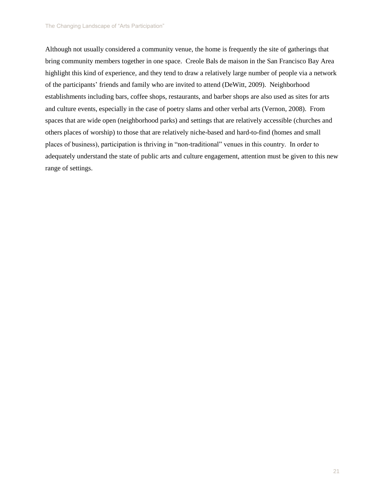Although not usually considered a community venue, the home is frequently the site of gatherings that bring community members together in one space. Creole Bals de maison in the San Francisco Bay Area highlight this kind of experience, and they tend to draw a relatively large number of people via a network of the participants' friends and family who are invited to attend (DeWitt, 2009). Neighborhood establishments including bars, coffee shops, restaurants, and barber shops are also used as sites for arts and culture events, especially in the case of poetry slams and other verbal arts (Vernon, 2008). From spaces that are wide open (neighborhood parks) and settings that are relatively accessible (churches and others places of worship) to those that are relatively niche-based and hard-to-find (homes and small places of business), participation is thriving in "non-traditional" venues in this country. In order to adequately understand the state of public arts and culture engagement, attention must be given to this new range of settings.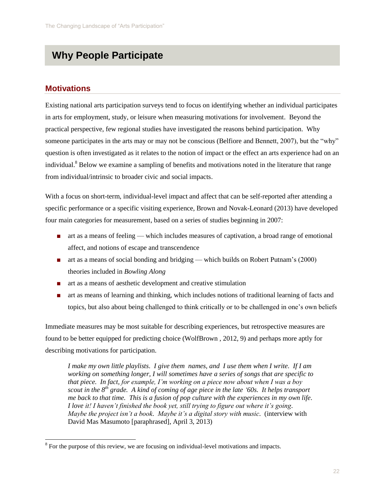# **Why People Participate**

### **Motivations**

l

Existing national arts participation surveys tend to focus on identifying whether an individual participates in arts for employment, study, or leisure when measuring motivations for involvement. Beyond the practical perspective, few regional studies have investigated the reasons behind participation. Why someone participates in the arts may or may not be conscious (Belfiore and Bennett, 2007), but the "why" question is often investigated as it relates to the notion of impact or the effect an arts experience had on an individual.<sup>8</sup> Below we examine a sampling of benefits and motivations noted in the literature that range from individual/intrinsic to broader civic and social impacts.

With a focus on short-term, individual-level impact and affect that can be self-reported after attending a specific performance or a specific visiting experience, Brown and Novak-Leonard (2013) have developed four main categories for measurement, based on a series of studies beginning in 2007:

- art as a means of feeling which includes measures of captivation, a broad range of emotional affect, and notions of escape and transcendence
- art as a means of social bonding and bridging which builds on Robert Putnam's (2000) theories included in *Bowling Along*
- art as a means of aesthetic development and creative stimulation
- art as means of learning and thinking, which includes notions of traditional learning of facts and topics, but also about being challenged to think critically or to be challenged in one's own beliefs

Immediate measures may be most suitable for describing experiences, but retrospective measures are found to be better equipped for predicting choice (WolfBrown , 2012, 9) and perhaps more aptly for describing motivations for participation.

*I make my own little playlists. I give them names, and I use them when I write. If I am working on something longer, I will sometimes have a series of songs that are specific to that piece. In fact, for example, I'm working on a piece now about when I was a boy scout in the 8th grade. A kind of coming of age piece in the late '60s. It helps transport me back to that time. This is a fusion of pop culture with the experiences in my own life. I love it! I haven't finished the book yet, still trying to figure out where it's going. Maybe the project isn't a book. Maybe it's a digital story with music.* (interview with David Mas Masumoto [paraphrased], April 3, 2013)

 $8\,$  For the purpose of this review, we are focusing on individual-level motivations and impacts.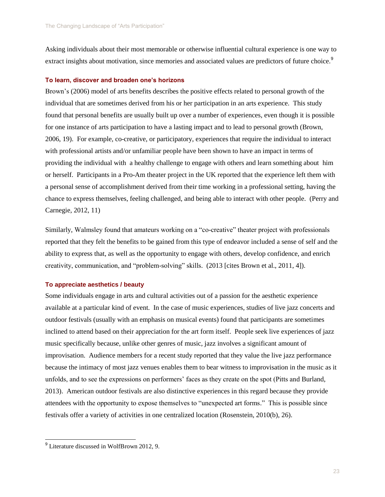Asking individuals about their most memorable or otherwise influential cultural experience is one way to extract insights about motivation, since memories and associated values are predictors of future choice.<sup>9</sup>

### **To learn, discover and broaden one's horizons**

Brown's (2006) model of arts benefits describes the positive effects related to personal growth of the individual that are sometimes derived from his or her participation in an arts experience. This study found that personal benefits are usually built up over a number of experiences, even though it is possible for one instance of arts participation to have a lasting impact and to lead to personal growth (Brown, 2006, 19). For example, co-creative, or participatory, experiences that require the individual to interact with professional artists and/or unfamiliar people have been shown to have an impact in terms of providing the individual with a healthy challenge to engage with others and learn something about him or herself. Participants in a Pro-Am theater project in the UK reported that the experience left them with a personal sense of accomplishment derived from their time working in a professional setting, having the chance to express themselves, feeling challenged, and being able to interact with other people. (Perry and Carnegie, 2012, 11)

Similarly, Walmsley found that amateurs working on a "co-creative" theater project with professionals reported that they felt the benefits to be gained from this type of endeavor included a sense of self and the ability to express that, as well as the opportunity to engage with others, develop confidence, and enrich creativity, communication, and "problem-solving" skills. (2013 [cites Brown et al., 2011, 4]).

### **To appreciate aesthetics / beauty**

Some individuals engage in arts and cultural activities out of a passion for the aesthetic experience available at a particular kind of event. In the case of music experiences, studies of live jazz concerts and outdoor festivals (usually with an emphasis on musical events) found that participants are sometimes inclined to attend based on their appreciation for the art form itself. People seek live experiences of jazz music specifically because, unlike other genres of music, jazz involves a significant amount of improvisation. Audience members for a recent study reported that they value the live jazz performance because the intimacy of most jazz venues enables them to bear witness to improvisation in the music as it unfolds, and to see the expressions on performers' faces as they create on the spot (Pitts and Burland, 2013). American outdoor festivals are also distinctive experiences in this regard because they provide attendees with the opportunity to expose themselves to "unexpected art forms." This is possible since festivals offer a variety of activities in one centralized location (Rosenstein, 2010(b), 26).

<sup>&</sup>lt;sup>9</sup> Literature discussed in WolfBrown 2012, 9.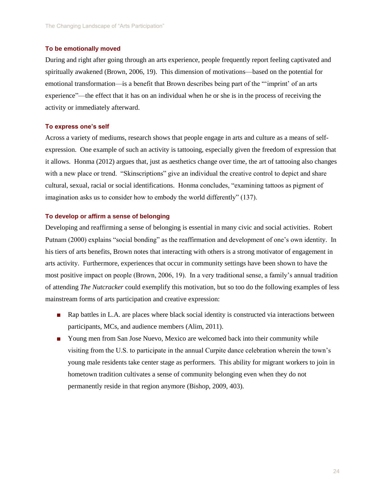### **To be emotionally moved**

During and right after going through an arts experience, people frequently report feeling captivated and spiritually awakened (Brown, 2006, 19). This dimension of motivations—based on the potential for emotional transformation—is a benefit that Brown describes being part of the "'imprint' of an arts experience"—the effect that it has on an individual when he or she is in the process of receiving the activity or immediately afterward.

### **To express one's self**

Across a variety of mediums, research shows that people engage in arts and culture as a means of selfexpression. One example of such an activity is tattooing, especially given the freedom of expression that it allows. Honma (2012) argues that, just as aesthetics change over time, the art of tattooing also changes with a new place or trend. "Skinscriptions" give an individual the creative control to depict and share cultural, sexual, racial or social identifications. Honma concludes, "examining tattoos as pigment of imagination asks us to consider how to embody the world differently" (137).

### **To develop or affirm a sense of belonging**

Developing and reaffirming a sense of belonging is essential in many civic and social activities. Robert Putnam (2000) explains "social bonding" as the reaffirmation and development of one's own identity. In his tiers of arts benefits, Brown notes that interacting with others is a strong motivator of engagement in arts activity. Furthermore, experiences that occur in community settings have been shown to have the most positive impact on people (Brown, 2006, 19). In a very traditional sense, a family's annual tradition of attending *The Nutcracker* could exemplify this motivation, but so too do the following examples of less mainstream forms of arts participation and creative expression:

- Rap battles in L.A. are places where black social identity is constructed via interactions between participants, MCs, and audience members (Alim, 2011).
- Young men from San Jose Nuevo, Mexico are welcomed back into their community while visiting from the U.S. to participate in the annual Curpite dance celebration wherein the town's young male residents take center stage as performers. This ability for migrant workers to join in hometown tradition cultivates a sense of community belonging even when they do not permanently reside in that region anymore (Bishop, 2009, 403).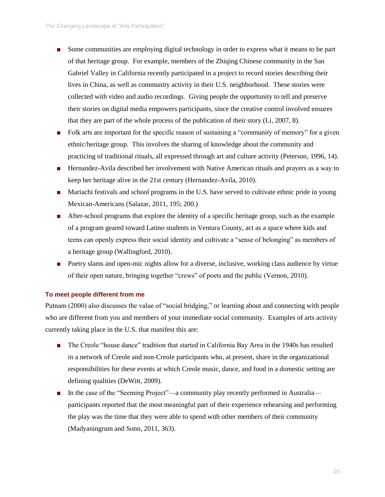- Some communities are employing digital technology in order to express what it means to be part of that heritage group. For example, members of the Zhiqing Chinese community in the San Gabriel Valley in California recently participated in a project to record stories describing their lives in China, as well as community activity in their U.S. neighborhood. These stories were collected with video and audio recordings. Giving people the opportunity to tell and preserve their stories on digital media empowers participants, since the creative control involved ensures that they are part of the whole process of the publication of their story (Li, 2007, 8).
- Folk arts are important for the specific reason of sustaining a "community of memory" for a given ethnic/heritage group. This involves the sharing of knowledge about the community and practicing of traditional rituals, all expressed through art and culture activity (Peterson, 1996, 14).
- Hernandez-Avila described her involvement with Native American rituals and prayers as a way to keep her heritage alive in the 21st century (Hernandez-Avila, 2010).
- Mariachi festivals and school programs in the U.S. have served to cultivate ethnic pride in young Mexican-Americans (Salazar, 2011, 195; 200.)
- After-school programs that explore the identity of a specific heritage group, such as the example of a program geared toward Latino students in Ventura County, act as a space where kids and teens can openly express their social identity and cultivate a "sense of belonging" as members of a heritage group (Wallingford, 2010).
- Poetry slams and open-mic nights allow for a diverse, inclusive, working class audience by virtue of their open nature, bringing together "crews" of poets and the public (Vernon, 2010).

### **To meet people different from me**

Putnam (2000) also discusses the value of "social bridging," or learning about and connecting with people who are different from you and members of your immediate social community. Examples of arts activity currently taking place in the U.S. that manifest this are:

- The Creole "house dance" tradition that started in California Bay Area in the 1940s has resulted in a network of Creole and non-Creole participants who, at present, share in the organizational responsibilities for these events at which Creole music, dance, and food in a domestic setting are defining qualities (DeWitt, 2009).
- In the case of the "Seeming Project"—a community play recently performed in Australia participants reported that the most meaningful part of their experience rehearsing and performing the play was the time that they were able to spend with other members of their community (Madyaningrum and Sonn, 2011, 363).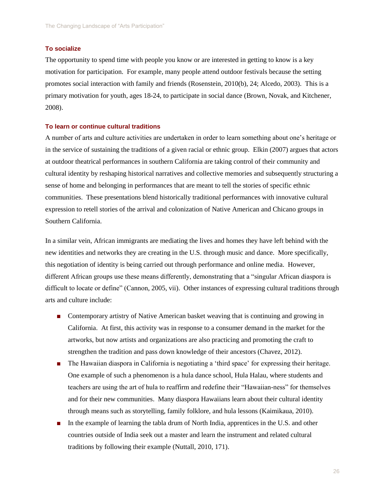### **To socialize**

The opportunity to spend time with people you know or are interested in getting to know is a key motivation for participation. For example, many people attend outdoor festivals because the setting promotes social interaction with family and friends (Rosenstein, 2010(b), 24; Alcedo, 2003). This is a primary motivation for youth, ages 18-24, to participate in social dance (Brown, Novak, and Kitchener, 2008).

### **To learn or continue cultural traditions**

A number of arts and culture activities are undertaken in order to learn something about one's heritage or in the service of sustaining the traditions of a given racial or ethnic group. Elkin (2007) argues that actors at outdoor theatrical performances in southern California are taking control of their community and cultural identity by reshaping historical narratives and collective memories and subsequently structuring a sense of home and belonging in performances that are meant to tell the stories of specific ethnic communities. These presentations blend historically traditional performances with innovative cultural expression to retell stories of the arrival and colonization of Native American and Chicano groups in Southern California.

In a similar vein, African immigrants are mediating the lives and homes they have left behind with the new identities and networks they are creating in the U.S. through music and dance. More specifically, this negotiation of identity is being carried out through performance and online media. However, different African groups use these means differently, demonstrating that a "singular African diaspora is difficult to locate or define" (Cannon, 2005, vii). Other instances of expressing cultural traditions through arts and culture include:

- Contemporary artistry of Native American basket weaving that is continuing and growing in California. At first, this activity was in response to a consumer demand in the market for the artworks, but now artists and organizations are also practicing and promoting the craft to strengthen the tradition and pass down knowledge of their ancestors (Chavez, 2012).
- The Hawaiian diaspora in California is negotiating a 'third space' for expressing their heritage. One example of such a phenomenon is a hula dance school, Hula Halau, where students and teachers are using the art of hula to reaffirm and redefine their "Hawaiian-ness" for themselves and for their new communities. Many diaspora Hawaiians learn about their cultural identity through means such as storytelling, family folklore, and hula lessons (Kaimikaua, 2010).
- In the example of learning the tabla drum of North India, apprentices in the U.S. and other countries outside of India seek out a master and learn the instrument and related cultural traditions by following their example (Nuttall, 2010, 171).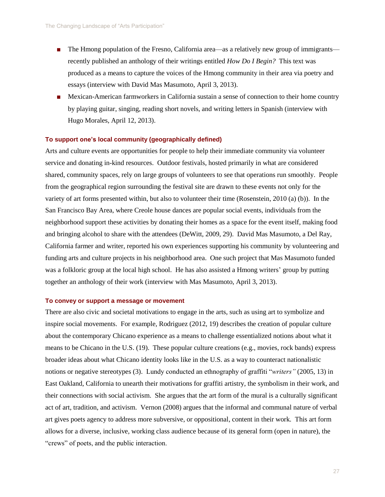- The Hmong population of the Fresno, California area—as a relatively new group of immigrants recently published an anthology of their writings entitled *How Do I Begin?* This text was produced as a means to capture the voices of the Hmong community in their area via poetry and essays (interview with David Mas Masumoto, April 3, 2013).
- Mexican-American farmworkers in California sustain a sense of connection to their home country by playing guitar, singing, reading short novels, and writing letters in Spanish (interview with Hugo Morales, April 12, 2013).

### **To support one's local community (geographically defined)**

Arts and culture events are opportunities for people to help their immediate community via volunteer service and donating in-kind resources. Outdoor festivals, hosted primarily in what are considered shared, community spaces, rely on large groups of volunteers to see that operations run smoothly. People from the geographical region surrounding the festival site are drawn to these events not only for the variety of art forms presented within, but also to volunteer their time (Rosenstein, 2010 (a) (b)). In the San Francisco Bay Area, where Creole house dances are popular social events, individuals from the neighborhood support these activities by donating their homes as a space for the event itself, making food and bringing alcohol to share with the attendees (DeWitt, 2009, 29). David Mas Masumoto, a Del Ray, California farmer and writer, reported his own experiences supporting his community by volunteering and funding arts and culture projects in his neighborhood area. One such project that Mas Masumoto funded was a folkloric group at the local high school. He has also assisted a Hmong writers' group by putting together an anthology of their work (interview with Mas Masumoto, April 3, 2013).

### **To convey or support a message or movement**

There are also civic and societal motivations to engage in the arts, such as using art to symbolize and inspire social movements. For example, Rodriguez (2012, 19) describes the creation of popular culture about the contemporary Chicano experience as a means to challenge essentialized notions about what it means to be Chicano in the U.S. (19). These popular culture creations (e.g., movies, rock bands) express broader ideas about what Chicano identity looks like in the U.S. as a way to counteract nationalistic notions or negative stereotypes (3). Lundy conducted an ethnography of graffiti "*writers"* (2005, 13) in East Oakland, California to unearth their motivations for graffiti artistry, the symbolism in their work, and their connections with social activism. She argues that the art form of the mural is a culturally significant act of art, tradition, and activism. Vernon (2008) argues that the informal and communal nature of verbal art gives poets agency to address more subversive, or oppositional, content in their work. This art form allows for a diverse, inclusive, working class audience because of its general form (open in nature), the "crews" of poets, and the public interaction.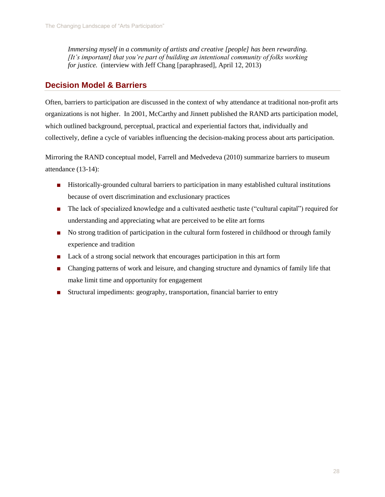*Immersing myself in a community of artists and creative [people] has been rewarding. [It's important] that you're part of building an intentional community of folks working for justice.* (interview with Jeff Chang [paraphrased], April 12, 2013)

## **Decision Model & Barriers**

Often, barriers to participation are discussed in the context of why attendance at traditional non-profit arts organizations is not higher. In 2001, McCarthy and Jinnett published the RAND arts participation model, which outlined background, perceptual, practical and experiential factors that, individually and collectively, define a cycle of variables influencing the decision-making process about arts participation.

Mirroring the RAND conceptual model, Farrell and Medvedeva (2010) summarize barriers to museum attendance (13-14):

- Historically-grounded cultural barriers to participation in many established cultural institutions because of overt discrimination and exclusionary practices
- The lack of specialized knowledge and a cultivated aesthetic taste ("cultural capital") required for understanding and appreciating what are perceived to be elite art forms
- No strong tradition of participation in the cultural form fostered in childhood or through family experience and tradition
- Lack of a strong social network that encourages participation in this art form
- Changing patterns of work and leisure, and changing structure and dynamics of family life that make limit time and opportunity for engagement
- Structural impediments: geography, transportation, financial barrier to entry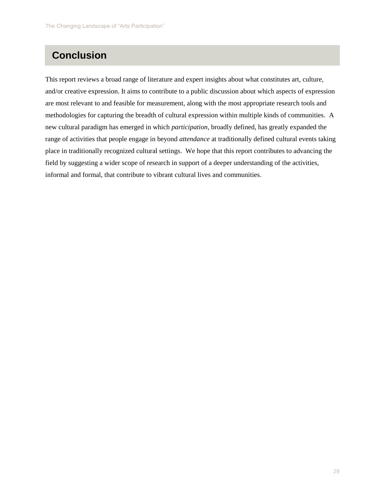# **Conclusion**

This report reviews a broad range of literature and expert insights about what constitutes art, culture, and/or creative expression. It aims to contribute to a public discussion about which aspects of expression are most relevant to and feasible for measurement, along with the most appropriate research tools and methodologies for capturing the breadth of cultural expression within multiple kinds of communities. A new cultural paradigm has emerged in which *participation*, broadly defined, has greatly expanded the range of activities that people engage in beyond *attendance* at traditionally defined cultural events taking place in traditionally recognized cultural settings. We hope that this report contributes to advancing the field by suggesting a wider scope of research in support of a deeper understanding of the activities, informal and formal, that contribute to vibrant cultural lives and communities.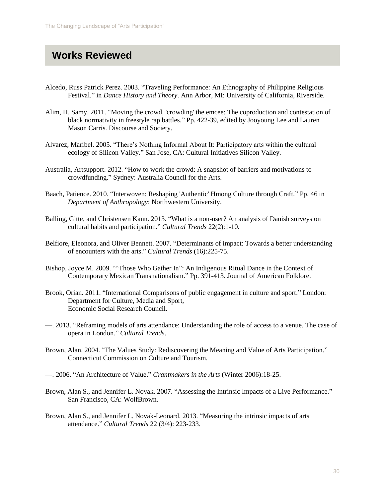# **Works Reviewed**

- Alcedo, Russ Patrick Perez. 2003. "Traveling Performance: An Ethnography of Philippine Religious Festival." in *Dance History and Theory*. Ann Arbor, MI: University of California, Riverside.
- Alim, H. Samy. 2011. "Moving the crowd, 'crowding' the emcee: The coproduction and contestation of black normativity in freestyle rap battles." Pp. 422-39, edited by Jooyoung Lee and Lauren Mason Carris. Discourse and Society.
- Alvarez, Maribel. 2005. "There's Nothing Informal About It: Participatory arts within the cultural ecology of Silicon Valley." San Jose, CA: Cultural Initiatives Silicon Valley.
- Australia, Artsupport. 2012. "How to work the crowd: A snapshot of barriers and motivations to crowdfunding." Sydney: Australia Council for the Arts.
- Baach, Patience. 2010. "Interwoven: Reshaping 'Authentic' Hmong Culture through Craft." Pp. 46 in *Department of Anthropology*: Northwestern University.
- Balling, Gitte, and Christensen Kann. 2013. "What is a non-user? An analysis of Danish surveys on cultural habits and participation." *Cultural Trends* 22(2):1-10.
- Belfiore, Eleonora, and Oliver Bennett. 2007. "Determinants of impact: Towards a better understanding of encounters with the arts." *Cultural Trends* (16):225-75.
- Bishop, Joyce M. 2009. ""Those Who Gather In": An Indigenous Ritual Dance in the Context of Contemporary Mexican Transnationalism." Pp. 391-413. Journal of American Folklore.
- Brook, Orian. 2011. "International Comparisons of public engagement in culture and sport." London: Department for Culture, Media and Sport, Economic Social Research Council.
- —. 2013. "Reframing models of arts attendance: Understanding the role of access to a venue. The case of opera in London." *Cultural Trends*.
- Brown, Alan. 2004. "The Values Study: Rediscovering the Meaning and Value of Arts Participation." Connecticut Commission on Culture and Tourism.
- —. 2006. "An Architecture of Value." *Grantmakers in the Arts* (Winter 2006):18-25.
- Brown, Alan S., and Jennifer L. Novak. 2007. "Assessing the Intrinsic Impacts of a Live Performance." San Francisco, CA: WolfBrown.
- Brown, Alan S., and Jennifer L. Novak-Leonard. 2013. "Measuring the intrinsic impacts of arts attendance." *Cultural Trends* 22 (3/4): 223-233.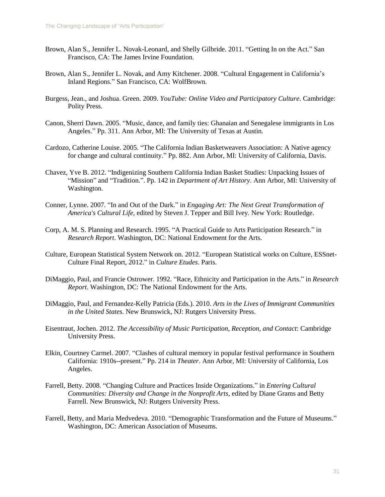- Brown, Alan S., Jennifer L. Novak-Leonard, and Shelly Gilbride. 2011. "Getting In on the Act." San Francisco, CA: The James Irvine Foundation.
- Brown, Alan S., Jennifer L. Novak, and Amy Kitchener. 2008. "Cultural Engagement in California's Inland Regions." San Francisco, CA: WolfBrown.
- Burgess, Jean., and Joshua. Green. 2009. *YouTube: Online Video and Participatory Culture*. Cambridge: Polity Press.
- Canon, Sherri Dawn. 2005. "Music, dance, and family ties: Ghanaian and Senegalese immigrants in Los Angeles." Pp. 311. Ann Arbor, MI: The University of Texas at Austin.
- Cardozo, Catherine Louise. 2005. "The California Indian Basketweavers Association: A Native agency for change and cultural continuity." Pp. 882. Ann Arbor, MI: University of California, Davis.
- Chavez, Yve B. 2012. "Indigenizing Southern California Indian Basket Studies: Unpacking Issues of "Mission" and "Tradition.". Pp. 142 in *Department of Art History*. Ann Arbor, MI: University of Washington.
- Conner, Lynne. 2007. "In and Out of the Dark." in *Engaging Art: The Next Great Transformation of America's Cultural Life*, edited by Steven J. Tepper and Bill Ivey. New York: Routledge.
- Corp, A. M. S. Planning and Research. 1995. "A Practical Guide to Arts Participation Research." in *Research Report*. Washington, DC: National Endowment for the Arts.
- Culture, European Statistical System Network on. 2012. "European Statistical works on Culture, ESSnet-Culture Final Report, 2012." in *Culture Etudes*. Paris.
- DiMaggio, Paul, and Francie Ostrower. 1992. "Race, Ethnicity and Participation in the Arts." in *Research Report*. Washington, DC: The National Endowment for the Arts.
- DiMaggio, Paul, and Fernandez-Kelly Patricia (Eds.). 2010. *Arts in the Lives of Immigrant Communities in the United States*. New Brunswick, NJ: Rutgers University Press.
- Eisentraut, Jochen. 2012. *The Accessibility of Music Participation, Reception, and Contact*: Cambridge University Press.
- Elkin, Courtney Carmel. 2007. "Clashes of cultural memory in popular festival performance in Southern California: 1910s--present." Pp. 214 in *Theater*. Ann Arbor, MI: University of California, Los Angeles.
- Farrell, Betty. 2008. "Changing Culture and Practices Inside Organizations." in *Entering Cultural Communities: Diversity and Change in the Nonprofit Arts*, edited by Diane Grams and Betty Farrell. New Brunswick, NJ: Rutgers University Press.
- Farrell, Betty, and Maria Medvedeva. 2010. "Demographic Transformation and the Future of Museums." Washington, DC: American Association of Museums.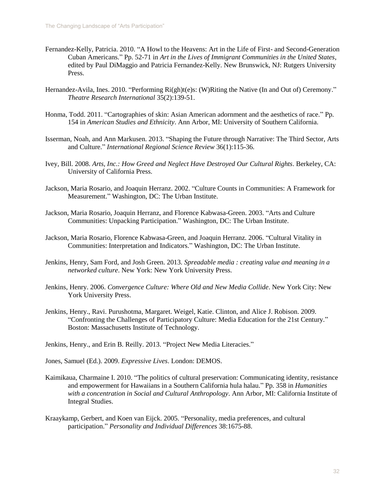- Fernandez-Kelly, Patricia. 2010. "A Howl to the Heavens: Art in the Life of First- and Second-Generation Cuban Americans." Pp. 52-71 in *Art in the Lives of Immigrant Communities in the United States*, edited by Paul DiMaggio and Patricia Fernandez-Kelly. New Brunswick, NJ: Rutgers University Press.
- Hernandez-Avila, Ines. 2010. "Performing Ri(gh)t(e)s: (W)Riting the Native (In and Out of) Ceremony." *Theatre Research International* 35(2):139-51.
- Honma, Todd. 2011. "Cartographies of skin: Asian American adornment and the aesthetics of race." Pp. 154 in *American Studies and Ethnicity*. Ann Arbor, MI: University of Southern California.
- Isserman, Noah, and Ann Markusen. 2013. "Shaping the Future through Narrative: The Third Sector, Arts and Culture." *International Regional Science Review* 36(1):115-36.
- Ivey, Bill. 2008. *Arts, Inc.: How Greed and Neglect Have Destroyed Our Cultural Rights*. Berkeley, CA: University of California Press.
- Jackson, Maria Rosario, and Joaquin Herranz. 2002. "Culture Counts in Communities: A Framework for Measurement." Washington, DC: The Urban Institute.
- Jackson, Maria Rosario, Joaquin Herranz, and Florence Kabwasa-Green. 2003. "Arts and Culture Communities: Unpacking Participation." Washington, DC: The Urban Institute.
- Jackson, Maria Rosario, Florence Kabwasa-Green, and Joaquin Herranz. 2006. "Cultural Vitality in Communities: Interpretation and Indicators." Washington, DC: The Urban Institute.
- Jenkins, Henry, Sam Ford, and Josh Green. 2013. *Spreadable media : creating value and meaning in a networked culture*. New York: New York University Press.
- Jenkins, Henry. 2006. *Convergence Culture: Where Old and New Media Collide*. New York City: New York University Press.
- Jenkins, Henry., Ravi. Purushotma, Margaret. Weigel, Katie. Clinton, and Alice J. Robison. 2009. "Confronting the Challenges of Participatory Culture: Media Education for the 21st Century." Boston: Massachusetts Institute of Technology.

Jenkins, Henry., and Erin B. Reilly. 2013. "Project New Media Literacies."

Jones, Samuel (Ed.). 2009. *Expressive Lives*. London: DEMOS.

- Kaimikaua, Charmaine I. 2010. "The politics of cultural preservation: Communicating identity, resistance and empowerment for Hawaiians in a Southern California hula halau." Pp. 358 in *Humanities with a concentration in Social and Cultural Anthropology*. Ann Arbor, MI: California Institute of Integral Studies.
- Kraaykamp, Gerbert, and Koen van Eijck. 2005. "Personality, media preferences, and cultural participation." *Personality and Individual Differences* 38:1675-88.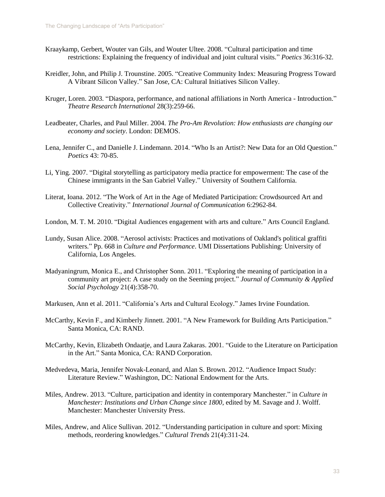- Kraaykamp, Gerbert, Wouter van Gils, and Wouter Ultee. 2008. "Cultural participation and time restrictions: Explaining the frequency of individual and joint cultural visits." *Poetics* 36:316-32.
- Kreidler, John, and Philip J. Trounstine. 2005. "Creative Community Index: Measuring Progress Toward A Vibrant Silicon Valley." San Jose, CA: Cultural Initiatives Silicon Valley.
- Kruger, Loren. 2003. "Diaspora, performance, and national affiliations in North America Introduction." *Theatre Research International* 28(3):259-66.
- Leadbeater, Charles, and Paul Miller. 2004. *The Pro-Am Revolution: How enthusiasts are changing our economy and society*. London: DEMOS.
- Lena, Jennifer C., and Danielle J. Lindemann. 2014. "Who Is an Artist?: New Data for an Old Question." *Poetics* 43: 70-85.
- Li, Ying. 2007. "Digital storytelling as participatory media practice for empowerment: The case of the Chinese immigrants in the San Gabriel Valley." University of Southern California.
- Literat, Ioana. 2012. "The Work of Art in the Age of Mediated Participation: Crowdsourced Art and Collective Creativity." *International Journal of Communication* 6:2962-84.
- London, M. T. M. 2010. "Digital Audiences engagement with arts and culture." Arts Council England.
- Lundy, Susan Alice. 2008. "Aerosol activists: Practices and motivations of Oakland's political graffiti writers." Pp. 668 in *Culture and Performance*. UMI Dissertations Publishing: University of California, Los Angeles.
- Madyaningrum, Monica E., and Christopher Sonn. 2011. "Exploring the meaning of participation in a community art project: A case study on the Seeming project." *Journal of Community & Applied Social Psychology* 21(4):358-70.
- Markusen, Ann et al. 2011. "California's Arts and Cultural Ecology." James Irvine Foundation.
- McCarthy, Kevin F., and Kimberly Jinnett. 2001. "A New Framework for Building Arts Participation." Santa Monica, CA: RAND.
- McCarthy, Kevin, Elizabeth Ondaatje, and Laura Zakaras. 2001. "Guide to the Literature on Participation in the Art." Santa Monica, CA: RAND Corporation.
- Medvedeva, Maria, Jennifer Novak-Leonard, and Alan S. Brown. 2012. "Audience Impact Study: Literature Review." Washington, DC: National Endowment for the Arts.
- Miles, Andrew. 2013. "Culture, participation and identity in contemporary Manchester." in *Culture in Manchester: Institutions and Urban Change since 1800*, edited by M. Savage and J. Wolff. Manchester: Manchester University Press.
- Miles, Andrew, and Alice Sullivan. 2012. "Understanding participation in culture and sport: Mixing methods, reordering knowledges." *Cultural Trends* 21(4):311-24.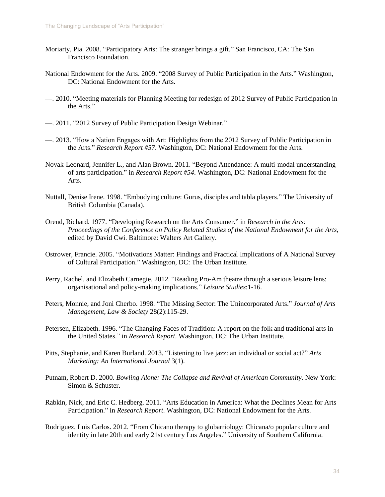- Moriarty, Pia. 2008. "Participatory Arts: The stranger brings a gift." San Francisco, CA: The San Francisco Foundation.
- National Endowment for the Arts. 2009. "2008 Survey of Public Participation in the Arts." Washington, DC: National Endowment for the Arts.
- —. 2010. "Meeting materials for Planning Meeting for redesign of 2012 Survey of Public Participation in the Arts."
- —. 2011. "2012 Survey of Public Participation Design Webinar."
- —. 2013. "How a Nation Engages with Art: Highlights from the 2012 Survey of Public Participation in the Arts." *Research Report #57*. Washington, DC: National Endowment for the Arts.
- Novak-Leonard, Jennifer L., and Alan Brown. 2011. "Beyond Attendance: A multi-modal understanding of arts participation." in *Research Report #54*. Washington, DC: National Endowment for the Arts.
- Nuttall, Denise Irene. 1998. "Embodying culture: Gurus, disciples and tabla players." The University of British Columbia (Canada).
- Orend, Richard. 1977. "Developing Research on the Arts Consumer." in *Research in the Arts: Proceedings of the Conference on Policy Related Studies of the National Endowment for the Arts*, edited by David Cwi. Baltimore: Walters Art Gallery.
- Ostrower, Francie. 2005. "Motivations Matter: Findings and Practical Implications of A National Survey of Cultural Participation." Washington, DC: The Urban Institute.
- Perry, Rachel, and Elizabeth Carnegie. 2012. "Reading Pro-Am theatre through a serious leisure lens: organisational and policy-making implications." *Leisure Studies*:1-16.
- Peters, Monnie, and Joni Cherbo. 1998. "The Missing Sector: The Unincorporated Arts." *Journal of Arts Management, Law & Society* 28(2):115-29.
- Petersen, Elizabeth. 1996. "The Changing Faces of Tradition: A report on the folk and traditional arts in the United States." in *Research Report*. Washington, DC: The Urban Institute.
- Pitts, Stephanie, and Karen Burland. 2013. "Listening to live jazz: an individual or social act?" *Arts Marketing: An International Journal* 3(1).
- Putnam, Robert D. 2000. *Bowling Alone: The Collapse and Revival of American Community*. New York: Simon & Schuster.
- Rabkin, Nick, and Eric C. Hedberg. 2011. "Arts Education in America: What the Declines Mean for Arts Participation." in *Research Report*. Washington, DC: National Endowment for the Arts.
- Rodriguez, Luis Carlos. 2012. "From Chicano therapy to globarriology: Chicana/o popular culture and identity in late 20th and early 21st century Los Angeles." University of Southern California.